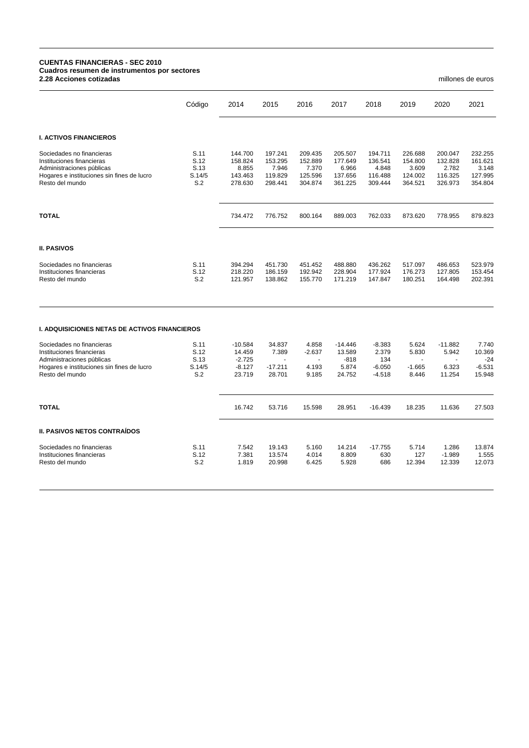## **CUENTAS FINANCIERAS - SEC 2010 Cuadros resumen de instrumentos por sectores 2.28 Acciones cotizadas** millones de euros

|                                                                                                                                                      | Código                                | 2014                                              | 2015                                              | 2016                                              | 2017                                              | 2018                                              | 2019                                              | 2020                                              | 2021                                              |
|------------------------------------------------------------------------------------------------------------------------------------------------------|---------------------------------------|---------------------------------------------------|---------------------------------------------------|---------------------------------------------------|---------------------------------------------------|---------------------------------------------------|---------------------------------------------------|---------------------------------------------------|---------------------------------------------------|
|                                                                                                                                                      |                                       |                                                   |                                                   |                                                   |                                                   |                                                   |                                                   |                                                   |                                                   |
| <b>I. ACTIVOS FINANCIEROS</b>                                                                                                                        |                                       |                                                   |                                                   |                                                   |                                                   |                                                   |                                                   |                                                   |                                                   |
| Sociedades no financieras<br>Instituciones financieras<br>Administraciones públicas<br>Hogares e instituciones sin fines de lucro<br>Resto del mundo | S.11<br>S.12<br>S.13<br>S.14/5<br>S.2 | 144.700<br>158.824<br>8.855<br>143.463<br>278.630 | 197.241<br>153.295<br>7.946<br>119.829<br>298.441 | 209.435<br>152.889<br>7.370<br>125.596<br>304.874 | 205.507<br>177.649<br>6.966<br>137.656<br>361.225 | 194.711<br>136.541<br>4.848<br>116.488<br>309.444 | 226.688<br>154.800<br>3.609<br>124.002<br>364.521 | 200.047<br>132.828<br>2.782<br>116.325<br>326.973 | 232.255<br>161.621<br>3.148<br>127.995<br>354.804 |
| <b>TOTAL</b>                                                                                                                                         |                                       | 734.472                                           | 776.752                                           | 800.164                                           | 889.003                                           | 762.033                                           | 873.620                                           | 778.955                                           | 879.823                                           |
| <b>II. PASIVOS</b>                                                                                                                                   |                                       |                                                   |                                                   |                                                   |                                                   |                                                   |                                                   |                                                   |                                                   |
| Sociedades no financieras<br>Instituciones financieras<br>Resto del mundo                                                                            | S.11<br>S.12<br>S.2                   | 394.294<br>218.220<br>121.957                     | 451.730<br>186.159<br>138.862                     | 451.452<br>192.942<br>155.770                     | 488.880<br>228.904<br>171.219                     | 436.262<br>177.924<br>147.847                     | 517.097<br>176.273<br>180.251                     | 486.653<br>127.805<br>164.498                     | 523.979<br>153.454<br>202.391                     |
| <b>I. ADQUISICIONES NETAS DE ACTIVOS FINANCIEROS</b>                                                                                                 |                                       |                                                   |                                                   |                                                   |                                                   |                                                   |                                                   |                                                   |                                                   |
| Sociedades no financieras                                                                                                                            | S.11                                  | $-10.584$                                         | 34.837                                            | 4.858                                             | $-14.446$                                         | $-8.383$                                          | 5.624                                             | $-11.882$                                         | 7.740                                             |
| Instituciones financieras<br>Administraciones públicas                                                                                               | S.12<br>S.13                          | 14.459<br>$-2.725$                                | 7.389<br>$\blacksquare$                           | $-2.637$<br>$\blacksquare$                        | 13.589<br>$-818$                                  | 2.379<br>134                                      | 5.830<br>$\blacksquare$                           | 5.942<br>$\blacksquare$                           | 10.369<br>$-24$                                   |
| Hogares e instituciones sin fines de lucro<br>Resto del mundo                                                                                        | S.14/5<br>S.2                         | $-8.127$<br>23.719                                | $-17.211$<br>28.701                               | 4.193<br>9.185                                    | 5.874<br>24.752                                   | $-6.050$<br>$-4.518$                              | $-1.665$<br>8.446                                 | 6.323<br>11.254                                   | $-6.531$<br>15.948                                |
| <b>TOTAL</b>                                                                                                                                         |                                       | 16.742                                            | 53.716                                            | 15.598                                            | 28.951                                            | $-16.439$                                         | 18.235                                            | 11.636                                            | 27.503                                            |
| <b>II. PASIVOS NETOS CONTRAÍDOS</b>                                                                                                                  |                                       |                                                   |                                                   |                                                   |                                                   |                                                   |                                                   |                                                   |                                                   |
| Sociedades no financieras<br>Instituciones financieras<br>Resto del mundo                                                                            | S.11<br>S.12<br>S.2                   | 7.542<br>7.381<br>1.819                           | 19.143<br>13.574<br>20.998                        | 5.160<br>4.014<br>6.425                           | 14.214<br>8.809<br>5.928                          | $-17.755$<br>630<br>686                           | 5.714<br>127<br>12.394                            | 1.286<br>$-1.989$<br>12.339                       | 13.874<br>1.555<br>12.073                         |